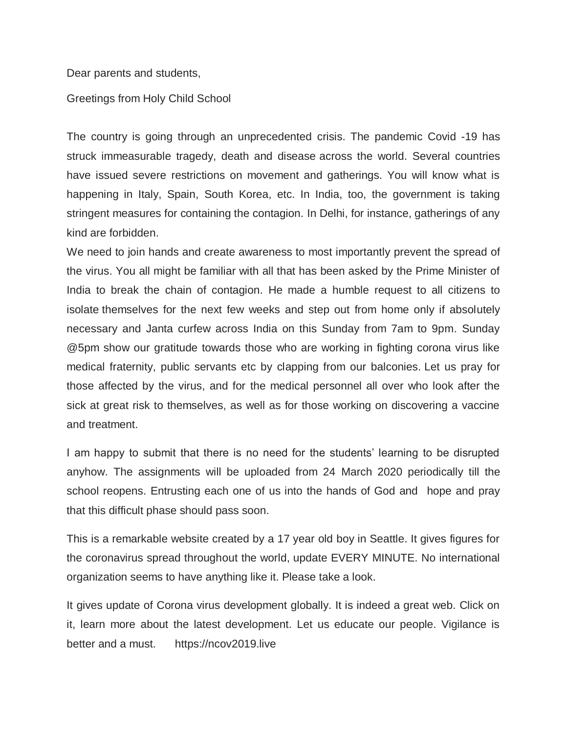Dear parents and students,

Greetings from Holy Child School

The country is going through an unprecedented crisis. The pandemic Covid -19 has struck immeasurable tragedy, death and disease across the world. Several countries have issued severe restrictions on movement and gatherings. You will know what is happening in Italy, Spain, South Korea, etc. In India, too, the government is taking stringent measures for containing the contagion. In Delhi, for instance, gatherings of any kind are forbidden.

We need to join hands and create awareness to most importantly prevent the spread of the virus. You all might be familiar with all that has been asked by the Prime Minister of India to break the chain of contagion. He made a humble request to all citizens to isolate themselves for the next few weeks and step out from home only if absolutely necessary and Janta curfew across India on this Sunday from 7am to 9pm. Sunday @5pm show our gratitude towards those who are working in fighting corona virus like medical fraternity, public servants etc by clapping from our balconies. Let us pray for those affected by the virus, and for the medical personnel all over who look after the sick at great risk to themselves, as well as for those working on discovering a vaccine and treatment.

I am happy to submit that there is no need for the students' learning to be disrupted anyhow. The assignments will be uploaded from 24 March 2020 periodically till the school reopens. Entrusting each one of us into the hands of God and hope and pray that this difficult phase should pass soon.

This is a remarkable website created by a 17 year old boy in Seattle. It gives figures for the coronavirus spread throughout the world, update EVERY MINUTE. No international organization seems to have anything like it. Please take a look.

It gives update of Corona virus development globally. It is indeed a great web. Click on it, learn more about the latest development. Let us educate our people. Vigilance is better and a must. [https://ncov2019.live](https://ncov2019.live/)